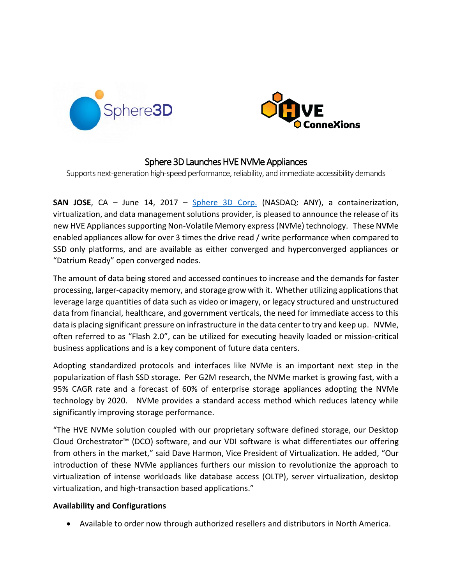



# Sphere 3D Launches HVE NVMe Appliances

Supports next-generation high-speed performance, reliability, and immediate accessibility demands

**SAN JOSE**, CA – June 14, 2017 – [Sphere 3D Corp.](file:///C:/Users/hlecon/AppData/Local/Microsoft/Windows/INetCache/Content.Outlook/BWP15PUM/sphere3d.com) (NASDAQ: ANY), a containerization, virtualization, and data management solutions provider, is pleased to announce the release of its new HVE Appliances supporting Non-Volatile Memory express (NVMe) technology. These NVMe enabled appliances allow for over 3 times the drive read / write performance when compared to SSD only platforms, and are available as either converged and hyperconverged appliances or "Datrium Ready" open converged nodes.

The amount of data being stored and accessed continues to increase and the demands for faster processing, larger-capacity memory, and storage grow with it. Whether utilizing applications that leverage large quantities of data such as video or imagery, or legacy structured and unstructured data from financial, healthcare, and government verticals, the need for immediate access to this data is placing significant pressure on infrastructure in the data center to try and keep up. NVMe, often referred to as "Flash 2.0", can be utilized for executing heavily loaded or mission-critical business applications and is a key component of future data centers.

Adopting standardized protocols and interfaces like NVMe is an important next step in the popularization of flash SSD storage. Per G2M research, the NVMe market is growing fast, with a 95% CAGR rate and a forecast of 60% of enterprise storage appliances adopting the NVMe technology by 2020. NVMe provides a standard access method which reduces latency while significantly improving storage performance.

"The HVE NVMe solution coupled with our proprietary software defined storage, our Desktop Cloud Orchestrator™ (DCO) software, and our VDI software is what differentiates our offering from others in the market," said Dave Harmon, Vice President of Virtualization. He added, "Our introduction of these NVMe appliances furthers our mission to revolutionize the approach to virtualization of intense workloads like database access (OLTP), server virtualization, desktop virtualization, and high-transaction based applications."

### **Availability and Configurations**

Available to order now through authorized resellers and distributors in North America.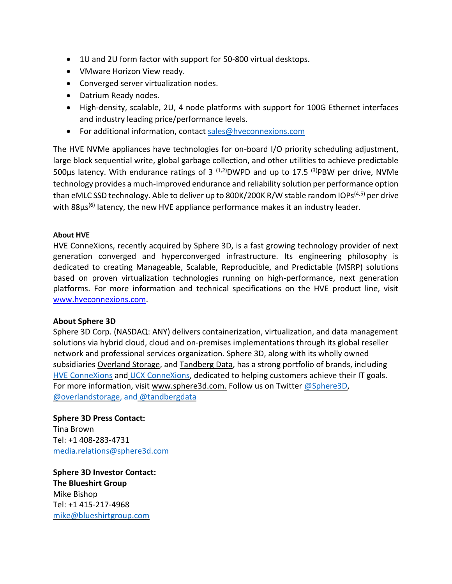- 1U and 2U form factor with support for 50-800 virtual desktops.
- VMware Horizon View ready.
- Converged server virtualization nodes.
- Datrium Ready nodes.
- High-density, scalable, 2U, 4 node platforms with support for 100G Ethernet interfaces and industry leading price/performance levels.
- For additional information, contact [sales@hveconnexions.com](mailto:sales@Sphere3D.com)

The HVE NVMe appliances have technologies for on-board I/O priority scheduling adjustment, large block sequential write, global garbage collection, and other utilities to achieve predictable 500 $\mu$ s latency. With endurance ratings of 3<sup>(1,2)</sup>DWPD and up to 17.5<sup>(3)</sup>PBW per drive, NVMe technology provides a much-improved endurance and reliability solution per performance option than eMLC SSD technology. Able to deliver up to 800K/200K R/W stable random IOPs<sup>(4,5)</sup> per drive with 88μs<sup>(6)</sup> latency, the new HVE appliance performance makes it an industry leader.

## **About HVE**

HVE ConneXions, recently acquired by Sphere 3D, is a fast growing technology provider of next generation converged and hyperconverged infrastructure. Its engineering philosophy is dedicated to creating Manageable, Scalable, Reproducible, and Predictable (MSRP) solutions based on proven virtualization technologies running on high-performance, next generation platforms. For more information and technical specifications on the HVE product line, visit [www.hveconnexions.com.](http://www.hveconnexions.com/)

### **About Sphere 3D**

Sphere 3D Corp. (NASDAQ: ANY) delivers containerization, virtualization, and data management solutions via hybrid cloud, cloud and on-premises implementations through its global reseller network and professional services organization. Sphere 3D, along with its wholly owned subsidiaries [Overland](http://www.overlandstorage.com/) Storage, and [Tandberg](http://www.tandbergdata.com/us/) Data, has a strong portfolio of brands, including HVE [ConneXions](http://www.hveconnexions.com/) and UCX [ConneXions,](http://www.ucxs.net/) dedicated to helping customers achieve their IT goals. For more information, visit [www.sphere3d.com.](http://www.sphere3d.com/) Follow us on Twitter [@Sphere3D,](https://twitter.com/Sphere3D?ref_src=twsrc%5Etfw) [@overlandstorage,](https://twitter.com/OverlandStorage) and [@tandbergdata](https://twitter.com/@tandbergdata)

**Sphere 3D Press Contact:** Tina Brown Tel: +1 408-283-4731 [media.relations@sphere3d.com](mailto:dvanasse@sphere3d.com) 

**Sphere 3D Investor Contact: The Blueshirt Group** Mike Bishop Tel: +1 415-217-4968 [mike@blueshirtgroup.com](mailto:mike@blueshirtgroup.com)